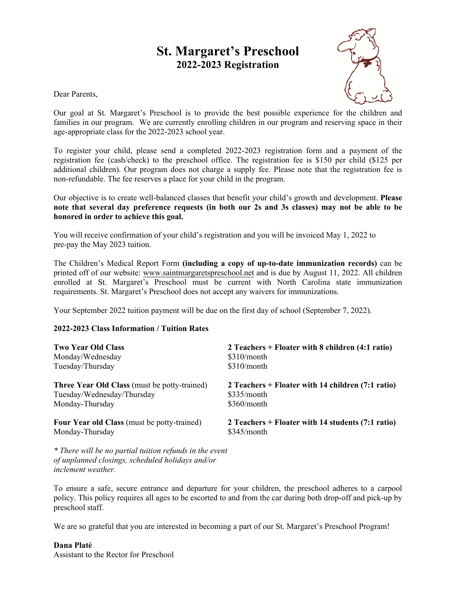# **St. Margaret's Preschool 2022-2023 Registration**

Dear Parents,



Our goal at St. Margaret's Preschool is to provide the best possible experience for the children and families in our program. We are currently enrolling children in our program and reserving space in their age-appropriate class for the 2022-2023 school year.

To register your child, please send a completed 2022-2023 registration form and a payment of the registration fee (cash/check) to the preschool office. The registration fee is \$150 per child (\$125 per additional children). Our program does not charge a supply fee. Please note that the registration fee is non-refundable. The fee reserves a place for your child in the program.

Our objective is to create well-balanced classes that benefit your child's growth and development. **Please note that several day preference requests (in both our 2s and 3s classes) may not be able to be honored in order to achieve this goal.**

You will receive confirmation of your child's registration and you will be invoiced May 1, 2022 to pre-pay the May 2023 tuition.

The Children's Medical Report Form **(including a copy of up-to-date immunization records)** can be printed off of our website: www.saintmargaretspreschool.net and is due by August 11, 2022. All children enrolled at St. Margaret's Preschool must be current with North Carolina state immunization requirements. St. Margaret's Preschool does not accept any waivers for immunizations.

Your September 2022 tuition payment will be due on the first day of school (September 7, 2022).

## **2022-2023 Class Information / Tuition Rates**

| <b>Two Year Old Class</b>                           | 2 Teachers + Floater with 8 children (4:1 ratio)  |
|-----------------------------------------------------|---------------------------------------------------|
| Monday/Wednesday                                    | $$310/m$ onth                                     |
| Tuesday/Thursday                                    | $$310/m$ onth                                     |
| <b>Three Year Old Class</b> (must be potty-trained) | 2 Teachers + Floater with 14 children (7:1 ratio) |
| Tuesday/Wednesday/Thursday                          | \$335/month                                       |
| Monday-Thursday                                     | \$360/month                                       |
| <b>Four Year old Class</b> (must be potty-trained)  | 2 Teachers + Floater with 14 students (7:1 ratio) |
| Monday-Thursday                                     | \$345/month                                       |

*\* There will be no partial tuition refunds in the event of unplanned closings, scheduled holidays and/or inclement weather.*

To ensure a safe, secure entrance and departure for your children, the preschool adheres to a carpool policy. This policy requires all ages to be escorted to and from the car during both drop-off and pick-up by preschool staff.

We are so grateful that you are interested in becoming a part of our St. Margaret's Preschool Program!

## **Dana Platé**

Assistant to the Rector for Preschool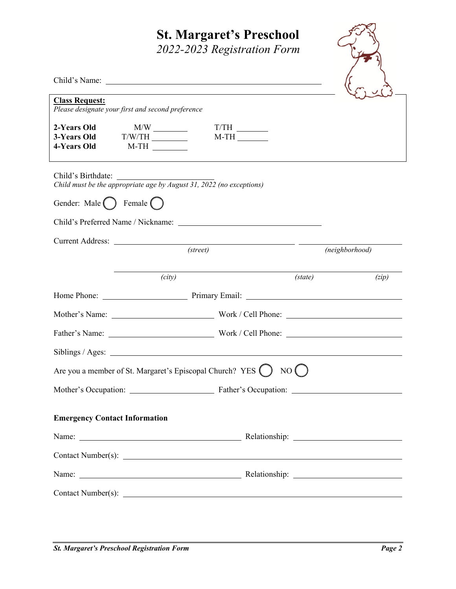# **St. Margaret's Preschool**

*2022-2023 Registration Form*

| <b>Class Request:</b><br>Please designate your first and second preference                 |                  |                |  |
|--------------------------------------------------------------------------------------------|------------------|----------------|--|
| 2-Years Old<br>4-Years Old<br>$M-TH$                                                       | $T/TH$<br>M-TH   |                |  |
| Child's Birthdate:<br>Child must be the appropriate age by August 31, 2022 (no exceptions) |                  |                |  |
| Gender: Male () Female ()                                                                  |                  |                |  |
|                                                                                            |                  |                |  |
| Current Address: (street)                                                                  |                  | (neighborhood) |  |
| (city)                                                                                     | (s <i>tate</i> ) | (zip)          |  |
|                                                                                            |                  |                |  |
|                                                                                            |                  |                |  |
|                                                                                            |                  |                |  |
|                                                                                            |                  |                |  |
| NO(                                                                                        |                  |                |  |
|                                                                                            |                  |                |  |
| <b>Emergency Contact Information</b>                                                       |                  |                |  |
|                                                                                            |                  |                |  |
|                                                                                            |                  |                |  |
|                                                                                            |                  |                |  |
|                                                                                            |                  |                |  |